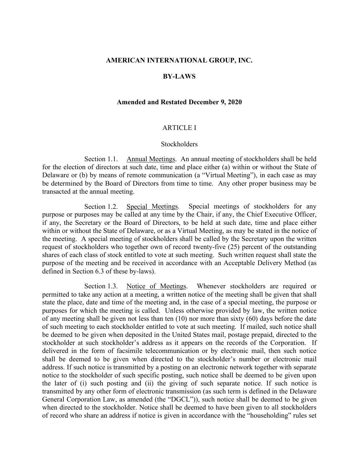#### **AMERICAN INTERNATIONAL GROUP, INC.**

#### **BY-LAWS**

#### **Amended and Restated December 9, 2020**

#### ARTICLE I

#### **Stockholders**

Section 1.1. Annual Meetings. An annual meeting of stockholders shall be held for the election of directors at such date, time and place either (a) within or without the State of Delaware or (b) by means of remote communication (a "Virtual Meeting"), in each case as may be determined by the Board of Directors from time to time. Any other proper business may be transacted at the annual meeting.

Section 1.2. Special Meetings. Special meetings of stockholders for any purpose or purposes may be called at any time by the Chair, if any, the Chief Executive Officer, if any, the Secretary or the Board of Directors, to be held at such date, time and place either within or without the State of Delaware, or as a Virtual Meeting, as may be stated in the notice of the meeting. A special meeting of stockholders shall be called by the Secretary upon the written request of stockholders who together own of record twenty-five (25) percent of the outstanding shares of each class of stock entitled to vote at such meeting. Such written request shall state the purpose of the meeting and be received in accordance with an Acceptable Delivery Method (as defined in [Section 6.3](#page-23-0) of these by-laws).

Section 1.3. Notice of Meetings. Whenever stockholders are required or permitted to take any action at a meeting, a written notice of the meeting shall be given that shall state the place, date and time of the meeting and, in the case of a special meeting, the purpose or purposes for which the meeting is called. Unless otherwise provided by law, the written notice of any meeting shall be given not less than ten (10) nor more than sixty (60) days before the date of such meeting to each stockholder entitled to vote at such meeting. If mailed, such notice shall be deemed to be given when deposited in the United States mail, postage prepaid, directed to the stockholder at such stockholder's address as it appears on the records of the Corporation. If delivered in the form of facsimile telecommunication or by electronic mail, then such notice shall be deemed to be given when directed to the stockholder's number or electronic mail address. If such notice is transmitted by a posting on an electronic network together with separate notice to the stockholder of such specific posting, such notice shall be deemed to be given upon the later of (i) such posting and (ii) the giving of such separate notice. If such notice is transmitted by any other form of electronic transmission (as such term is defined in the Delaware General Corporation Law, as amended (the "DGCL")), such notice shall be deemed to be given when directed to the stockholder. Notice shall be deemed to have been given to all stockholders of record who share an address if notice is given in accordance with the "householding" rules set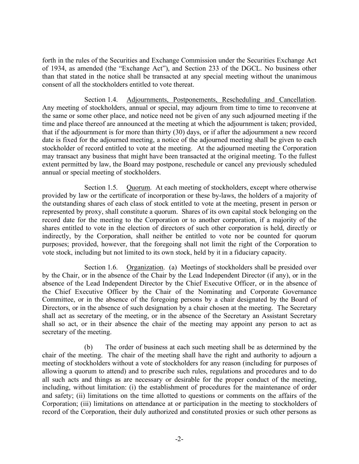forth in the rules of the Securities and Exchange Commission under the Securities Exchange Act of 1934, as amended (the "Exchange Act"), and Section 233 of the DGCL. No business other than that stated in the notice shall be transacted at any special meeting without the unanimous consent of all the stockholders entitled to vote thereat.

Section 1.4. Adjournments, Postponements, Rescheduling and Cancellation. Any meeting of stockholders, annual or special, may adjourn from time to time to reconvene at the same or some other place, and notice need not be given of any such adjourned meeting if the time and place thereof are announced at the meeting at which the adjournment is taken; provided, that if the adjournment is for more than thirty (30) days, or if after the adjournment a new record date is fixed for the adjourned meeting, a notice of the adjourned meeting shall be given to each stockholder of record entitled to vote at the meeting. At the adjourned meeting the Corporation may transact any business that might have been transacted at the original meeting. To the fullest extent permitted by law, the Board may postpone, reschedule or cancel any previously scheduled annual or special meeting of stockholders.

Section 1.5. Quorum. At each meeting of stockholders, except where otherwise provided by law or the certificate of incorporation or these by-laws, the holders of a majority of the outstanding shares of each class of stock entitled to vote at the meeting, present in person or represented by proxy, shall constitute a quorum. Shares of its own capital stock belonging on the record date for the meeting to the Corporation or to another corporation, if a majority of the shares entitled to vote in the election of directors of such other corporation is held, directly or indirectly, by the Corporation, shall neither be entitled to vote nor be counted for quorum purposes; provided, however, that the foregoing shall not limit the right of the Corporation to vote stock, including but not limited to its own stock, held by it in a fiduciary capacity.

Section 1.6. Organization. (a) Meetings of stockholders shall be presided over by the Chair, or in the absence of the Chair by the Lead Independent Director (if any), or in the absence of the Lead Independent Director by the Chief Executive Officer, or in the absence of the Chief Executive Officer by the Chair of the Nominating and Corporate Governance Committee, or in the absence of the foregoing persons by a chair designated by the Board of Directors, or in the absence of such designation by a chair chosen at the meeting. The Secretary shall act as secretary of the meeting, or in the absence of the Secretary an Assistant Secretary shall so act, or in their absence the chair of the meeting may appoint any person to act as secretary of the meeting.

(b) The order of business at each such meeting shall be as determined by the chair of the meeting. The chair of the meeting shall have the right and authority to adjourn a meeting of stockholders without a vote of stockholders for any reason (including for purposes of allowing a quorum to attend) and to prescribe such rules, regulations and procedures and to do all such acts and things as are necessary or desirable for the proper conduct of the meeting, including, without limitation: (i) the establishment of procedures for the maintenance of order and safety; (ii) limitations on the time allotted to questions or comments on the affairs of the Corporation; (iii) limitations on attendance at or participation in the meeting to stockholders of record of the Corporation, their duly authorized and constituted proxies or such other persons as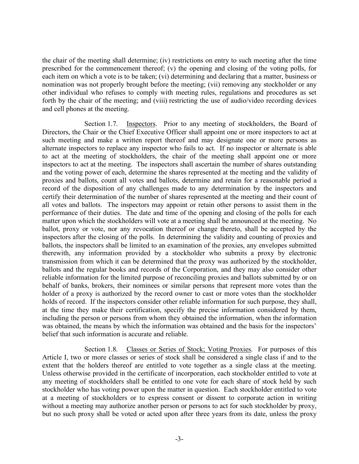the chair of the meeting shall determine; (iv) restrictions on entry to such meeting after the time prescribed for the commencement thereof; (v) the opening and closing of the voting polls, for each item on which a vote is to be taken; (vi) determining and declaring that a matter, business or nomination was not properly brought before the meeting; (vii) removing any stockholder or any other individual who refuses to comply with meeting rules, regulations and procedures as set forth by the chair of the meeting; and (viii) restricting the use of audio/video recording devices and cell phones at the meeting.

Section 1.7. Inspectors. Prior to any meeting of stockholders, the Board of Directors, the Chair or the Chief Executive Officer shall appoint one or more inspectors to act at such meeting and make a written report thereof and may designate one or more persons as alternate inspectors to replace any inspector who fails to act. If no inspector or alternate is able to act at the meeting of stockholders, the chair of the meeting shall appoint one or more inspectors to act at the meeting. The inspectors shall ascertain the number of shares outstanding and the voting power of each, determine the shares represented at the meeting and the validity of proxies and ballots, count all votes and ballots, determine and retain for a reasonable period a record of the disposition of any challenges made to any determination by the inspectors and certify their determination of the number of shares represented at the meeting and their count of all votes and ballots. The inspectors may appoint or retain other persons to assist them in the performance of their duties. The date and time of the opening and closing of the polls for each matter upon which the stockholders will vote at a meeting shall be announced at the meeting. No ballot, proxy or vote, nor any revocation thereof or change thereto, shall be accepted by the inspectors after the closing of the polls. In determining the validity and counting of proxies and ballots, the inspectors shall be limited to an examination of the proxies, any envelopes submitted therewith, any information provided by a stockholder who submits a proxy by electronic transmission from which it can be determined that the proxy was authorized by the stockholder, ballots and the regular books and records of the Corporation, and they may also consider other reliable information for the limited purpose of reconciling proxies and ballots submitted by or on behalf of banks, brokers, their nominees or similar persons that represent more votes than the holder of a proxy is authorized by the record owner to cast or more votes than the stockholder holds of record. If the inspectors consider other reliable information for such purpose, they shall, at the time they make their certification, specify the precise information considered by them, including the person or persons from whom they obtained the information, when the information was obtained, the means by which the information was obtained and the basis for the inspectors' belief that such information is accurate and reliable.

Section 1.8. Classes or Series of Stock; Voting Proxies. For purposes of this Article I, two or more classes or series of stock shall be considered a single class if and to the extent that the holders thereof are entitled to vote together as a single class at the meeting. Unless otherwise provided in the certificate of incorporation, each stockholder entitled to vote at any meeting of stockholders shall be entitled to one vote for each share of stock held by such stockholder who has voting power upon the matter in question. Each stockholder entitled to vote at a meeting of stockholders or to express consent or dissent to corporate action in writing without a meeting may authorize another person or persons to act for such stockholder by proxy, but no such proxy shall be voted or acted upon after three years from its date, unless the proxy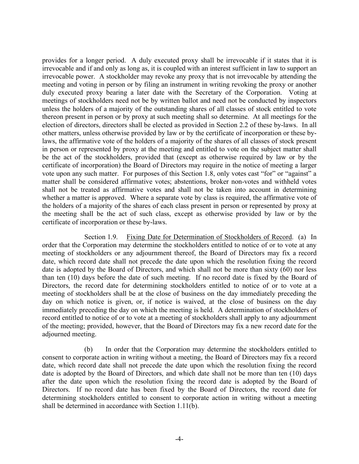provides for a longer period. A duly executed proxy shall be irrevocable if it states that it is irrevocable and if and only as long as, it is coupled with an interest sufficient in law to support an irrevocable power. A stockholder may revoke any proxy that is not irrevocable by attending the meeting and voting in person or by filing an instrument in writing revoking the proxy or another duly executed proxy bearing a later date with the Secretary of the Corporation. Voting at meetings of stockholders need not be by written ballot and need not be conducted by inspectors unless the holders of a majority of the outstanding shares of all classes of stock entitled to vote thereon present in person or by proxy at such meeting shall so determine. At all meetings for the election of directors, directors shall be elected as provided in [Section 2.2](#page-17-0) of these by-laws. In all other matters, unless otherwise provided by law or by the certificate of incorporation or these bylaws, the affirmative vote of the holders of a majority of the shares of all classes of stock present in person or represented by proxy at the meeting and entitled to vote on the subject matter shall be the act of the stockholders, provided that (except as otherwise required by law or by the certificate of incorporation) the Board of Directors may require in the notice of meeting a larger vote upon any such matter. For purposes of this Section 1.8, only votes cast "for" or "against" a matter shall be considered affirmative votes; abstentions, broker non-votes and withheld votes shall not be treated as affirmative votes and shall not be taken into account in determining whether a matter is approved. Where a separate vote by class is required, the affirmative vote of the holders of a majority of the shares of each class present in person or represented by proxy at the meeting shall be the act of such class, except as otherwise provided by law or by the certificate of incorporation or these by-laws.

Section 1.9. Fixing Date for Determination of Stockholders of Record. (a) In order that the Corporation may determine the stockholders entitled to notice of or to vote at any meeting of stockholders or any adjournment thereof, the Board of Directors may fix a record date, which record date shall not precede the date upon which the resolution fixing the record date is adopted by the Board of Directors, and which shall not be more than sixty (60) nor less than ten (10) days before the date of such meeting. If no record date is fixed by the Board of Directors, the record date for determining stockholders entitled to notice of or to vote at a meeting of stockholders shall be at the close of business on the day immediately preceding the day on which notice is given, or, if notice is waived, at the close of business on the day immediately preceding the day on which the meeting is held. A determination of stockholders of record entitled to notice of or to vote at a meeting of stockholders shall apply to any adjournment of the meeting; provided, however, that the Board of Directors may fix a new record date for the adjourned meeting.

(b) In order that the Corporation may determine the stockholders entitled to consent to corporate action in writing without a meeting, the Board of Directors may fix a record date, which record date shall not precede the date upon which the resolution fixing the record date is adopted by the Board of Directors, and which date shall not be more than ten (10) days after the date upon which the resolution fixing the record date is adopted by the Board of Directors. If no record date has been fixed by the Board of Directors, the record date for determining stockholders entitled to consent to corporate action in writing without a meeting shall be determined in accordance with [Section 1.11\(b\).](#page-4-0)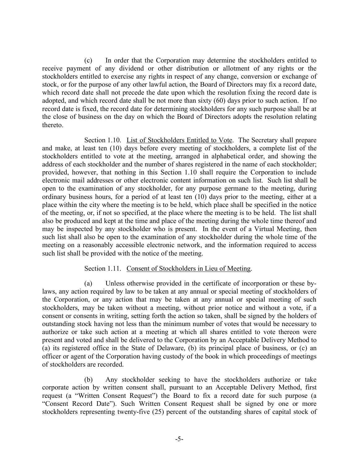<span id="page-4-3"></span>(c) In order that the Corporation may determine the stockholders entitled to receive payment of any dividend or other distribution or allotment of any rights or the stockholders entitled to exercise any rights in respect of any change, conversion or exchange of stock, or for the purpose of any other lawful action, the Board of Directors may fix a record date, which record date shall not precede the date upon which the resolution fixing the record date is adopted, and which record date shall be not more than sixty (60) days prior to such action. If no record date is fixed, the record date for determining stockholders for any such purpose shall be at the close of business on the day on which the Board of Directors adopts the resolution relating thereto.

<span id="page-4-1"></span>Section 1.10. List of Stockholders Entitled to Vote. The Secretary shall prepare and make, at least ten (10) days before every meeting of stockholders, a complete list of the stockholders entitled to vote at the meeting, arranged in alphabetical order, and showing the address of each stockholder and the number of shares registered in the name of each stockholder; provided, however, that nothing in this [Section 1.10](#page-4-1) shall require the Corporation to include electronic mail addresses or other electronic content information on such list. Such list shall be open to the examination of any stockholder, for any purpose germane to the meeting, during ordinary business hours, for a period of at least ten (10) days prior to the meeting, either at a place within the city where the meeting is to be held, which place shall be specified in the notice of the meeting, or, if not so specified, at the place where the meeting is to be held. The list shall also be produced and kept at the time and place of the meeting during the whole time thereof and may be inspected by any stockholder who is present. In the event of a Virtual Meeting, then such list shall also be open to the examination of any stockholder during the whole time of the meeting on a reasonably accessible electronic network, and the information required to access such list shall be provided with the notice of the meeting.

## Section 1.11. Consent of Stockholders in Lieu of Meeting.

<span id="page-4-2"></span>(a) Unless otherwise provided in the certificate of incorporation or these bylaws, any action required by law to be taken at any annual or special meeting of stockholders of the Corporation, or any action that may be taken at any annual or special meeting of such stockholders, may be taken without a meeting, without prior notice and without a vote, if a consent or consents in writing, setting forth the action so taken, shall be signed by the holders of outstanding stock having not less than the minimum number of votes that would be necessary to authorize or take such action at a meeting at which all shares entitled to vote thereon were present and voted and shall be delivered to the Corporation by an Acceptable Delivery Method to (a) its registered office in the State of Delaware, (b) its principal place of business, or (c) an officer or agent of the Corporation having custody of the book in which proceedings of meetings of stockholders are recorded.

<span id="page-4-0"></span>(b) Any stockholder seeking to have the stockholders authorize or take corporate action by written consent shall, pursuant to an Acceptable Delivery Method, first request (a "Written Consent Request") the Board to fix a record date for such purpose (a "Consent Record Date"). Such Written Consent Request shall be signed by one or more stockholders representing twenty-five (25) percent of the outstanding shares of capital stock of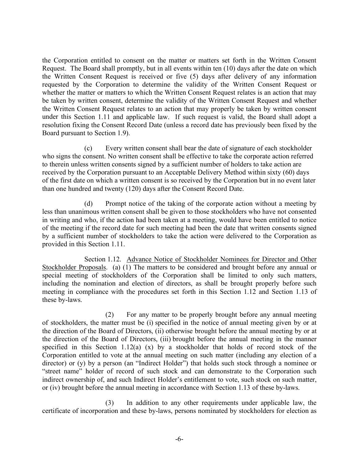the Corporation entitled to consent on the matter or matters set forth in the Written Consent Request. The Board shall promptly, but in all events within ten (10) days after the date on which the Written Consent Request is received or five (5) days after delivery of any information requested by the Corporation to determine the validity of the Written Consent Request or whether the matter or matters to which the Written Consent Request relates is an action that may be taken by written consent, determine the validity of the Written Consent Request and whether the Written Consent Request relates to an action that may properly be taken by written consent under this Section 1.11 and applicable law. If such request is valid, the Board shall adopt a resolution fixing the Consent Record Date (unless a record date has previously been fixed by the Board pursuant to [Section 1.9](#page-7-0)).

(c) Every written consent shall bear the date of signature of each stockholder who signs the consent. No written consent shall be effective to take the corporate action referred to therein unless written consents signed by a sufficient number of holders to take action are received by the Corporation pursuant to an Acceptable Delivery Method within sixty (60) days of the first date on which a written consent is so received by the Corporation but in no event later than one hundred and twenty (120) days after the Consent Record Date.

(d) Prompt notice of the taking of the corporate action without a meeting by less than unanimous written consent shall be given to those stockholders who have not consented in writing and who, if the action had been taken at a meeting, would have been entitled to notice of the meeting if the record date for such meeting had been the date that written consents signed by a sufficient number of stockholders to take the action were delivered to the Corporation as provided in this [Section 1.11.](#page-4-2)

Section 1.12. Advance Notice of Stockholder Nominees for Director and Other Stockholder Proposals. (a) (1) The matters to be considered and brought before any annual or special meeting of stockholders of the Corporation shall be limited to only such matters, including the nomination and election of directors, as shall be brought properly before such meeting in compliance with the procedures set forth in this Section 1.12 and [Section 1.13](#page-8-0) of these by-laws.

(2) For any matter to be properly brought before any annual meeting of stockholders, the matter must be (i) specified in the notice of annual meeting given by or at the direction of the Board of Directors, (ii) otherwise brought before the annual meeting by or at the direction of the Board of Directors, (iii) brought before the annual meeting in the manner specified in this Section 1.12(a)  $(x)$  by a stockholder that holds of record stock of the Corporation entitled to vote at the annual meeting on such matter (including any election of a director) or (y) by a person (an "Indirect Holder") that holds such stock through a nominee or "street name" holder of record of such stock and can demonstrate to the Corporation such indirect ownership of, and such Indirect Holder's entitlement to vote, such stock on such matter, or (iv) brought before the annual meeting in accordance with [Section 1.13](#page-8-0) of these by-laws.

(3) In addition to any other requirements under applicable law, the certificate of incorporation and these by-laws, persons nominated by stockholders for election as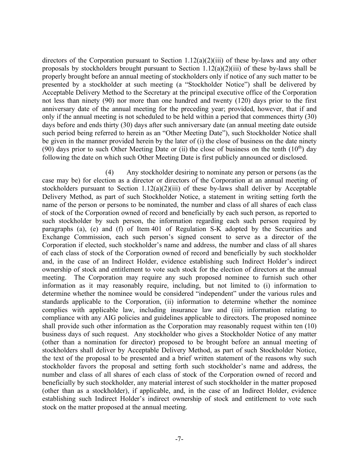directors of the Corporation pursuant to Section 1.12(a)(2)(iii) of these by-laws and any other proposals by stockholders brought pursuant to Section 1.12(a)(2)(iii) of these by-laws shall be properly brought before an annual meeting of stockholders only if notice of any such matter to be presented by a stockholder at such meeting (a "Stockholder Notice") shall be delivered by Acceptable Delivery Method to the Secretary at the principal executive office of the Corporation not less than ninety (90) nor more than one hundred and twenty (120) days prior to the first anniversary date of the annual meeting for the preceding year; provided, however, that if and only if the annual meeting is not scheduled to be held within a period that commences thirty (30) days before and ends thirty (30) days after such anniversary date (an annual meeting date outside such period being referred to herein as an "Other Meeting Date"), such Stockholder Notice shall be given in the manner provided herein by the later of (i) the close of business on the date ninety (90) days prior to such Other Meeting Date or (ii) the close of business on the tenth  $(10<sup>th</sup>)$  day following the date on which such Other Meeting Date is first publicly announced or disclosed.

(4) Any stockholder desiring to nominate any person or persons (as the case may be) for election as a director or directors of the Corporation at an annual meeting of stockholders pursuant to Section  $1.12(a)(2)(iii)$  of these by-laws shall deliver by Acceptable Delivery Method, as part of such Stockholder Notice, a statement in writing setting forth the name of the person or persons to be nominated, the number and class of all shares of each class of stock of the Corporation owned of record and beneficially by each such person, as reported to such stockholder by such person, the information regarding each such person required by paragraphs (a), (e) and (f) of Item 401 of Regulation S-K adopted by the Securities and Exchange Commission, each such person's signed consent to serve as a director of the Corporation if elected, such stockholder's name and address, the number and class of all shares of each class of stock of the Corporation owned of record and beneficially by such stockholder and, in the case of an Indirect Holder, evidence establishing such Indirect Holder's indirect ownership of stock and entitlement to vote such stock for the election of directors at the annual meeting. The Corporation may require any such proposed nominee to furnish such other information as it may reasonably require, including, but not limited to (i) information to determine whether the nominee would be considered "independent" under the various rules and standards applicable to the Corporation, (ii) information to determine whether the nominee complies with applicable law, including insurance law and (iii) information relating to compliance with any AIG policies and guidelines applicable to directors. The proposed nominee shall provide such other information as the Corporation may reasonably request within ten (10) business days of such request. Any stockholder who gives a Stockholder Notice of any matter (other than a nomination for director) proposed to be brought before an annual meeting of stockholders shall deliver by Acceptable Delivery Method, as part of such Stockholder Notice, the text of the proposal to be presented and a brief written statement of the reasons why such stockholder favors the proposal and setting forth such stockholder's name and address, the number and class of all shares of each class of stock of the Corporation owned of record and beneficially by such stockholder, any material interest of such stockholder in the matter proposed (other than as a stockholder), if applicable, and, in the case of an Indirect Holder, evidence establishing such Indirect Holder's indirect ownership of stock and entitlement to vote such stock on the matter proposed at the annual meeting.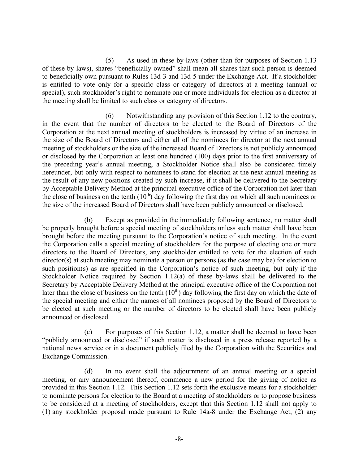<span id="page-7-0"></span>(5) As used in these by-laws (other than for purposes of [Section 1.13](#page-8-0) of these by-laws), shares "beneficially owned" shall mean all shares that such person is deemed to beneficially own pursuant to Rules 13d-3 and 13d-5 under the Exchange Act. If a stockholder is entitled to vote only for a specific class or category of directors at a meeting (annual or special), such stockholder's right to nominate one or more individuals for election as a director at the meeting shall be limited to such class or category of directors.

(6) Notwithstanding any provision of this Section 1.12 to the contrary, in the event that the number of directors to be elected to the Board of Directors of the Corporation at the next annual meeting of stockholders is increased by virtue of an increase in the size of the Board of Directors and either all of the nominees for director at the next annual meeting of stockholders or the size of the increased Board of Directors is not publicly announced or disclosed by the Corporation at least one hundred (100) days prior to the first anniversary of the preceding year's annual meeting, a Stockholder Notice shall also be considered timely hereunder, but only with respect to nominees to stand for election at the next annual meeting as the result of any new positions created by such increase, if it shall be delivered to the Secretary by Acceptable Delivery Method at the principal executive office of the Corporation not later than the close of business on the tenth  $(10<sup>th</sup>)$  day following the first day on which all such nominees or the size of the increased Board of Directors shall have been publicly announced or disclosed.

(b) Except as provided in the immediately following sentence, no matter shall be properly brought before a special meeting of stockholders unless such matter shall have been brought before the meeting pursuant to the Corporation's notice of such meeting. In the event the Corporation calls a special meeting of stockholders for the purpose of electing one or more directors to the Board of Directors, any stockholder entitled to vote for the election of such director(s) at such meeting may nominate a person or persons (as the case may be) for election to such position(s) as are specified in the Corporation's notice of such meeting, but only if the Stockholder Notice required by Section 1.12(a) of these by-laws shall be delivered to the Secretary by Acceptable Delivery Method at the principal executive office of the Corporation not later than the close of business on the tenth  $(10<sup>th</sup>)$  day following the first day on which the date of the special meeting and either the names of all nominees proposed by the Board of Directors to be elected at such meeting or the number of directors to be elected shall have been publicly announced or disclosed.

(c) For purposes of this Section 1.12, a matter shall be deemed to have been "publicly announced or disclosed" if such matter is disclosed in a press release reported by a national news service or in a document publicly filed by the Corporation with the Securities and Exchange Commission.

(d) In no event shall the adjournment of an annual meeting or a special meeting, or any announcement thereof, commence a new period for the giving of notice as provided in this Section 1.12. This Section 1.12 sets forth the exclusive means for a stockholder to nominate persons for election to the Board at a meeting of stockholders or to propose business to be considered at a meeting of stockholders, except that this Section 1.12 shall not apply to (1) any stockholder proposal made pursuant to Rule 14a-8 under the Exchange Act, (2) any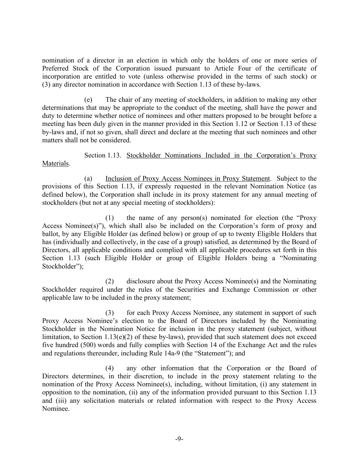nomination of a director in an election in which only the holders of one or more series of Preferred Stock of the Corporation issued pursuant to Article Four of the certificate of incorporation are entitled to vote (unless otherwise provided in the terms of such stock) or (3) any director nomination in accordance with [Section 1.13](#page-8-0) of these by-laws.

(e) The chair of any meeting of stockholders, in addition to making any other determinations that may be appropriate to the conduct of the meeting, shall have the power and duty to determine whether notice of nominees and other matters proposed to be brought before a meeting has been duly given in the manner provided in this Section 1.12 or [Section 1.13](#page-8-0) of these by-laws and, if not so given, shall direct and declare at the meeting that such nominees and other matters shall not be considered.

<span id="page-8-0"></span>Section 1.13. Stockholder Nominations Included in the Corporation's Proxy Materials.

(a) Inclusion of Proxy Access Nominees in Proxy Statement. Subject to the provisions of this [Section 1.13,](#page-8-0) if expressly requested in the relevant Nomination Notice (as defined below), the Corporation shall include in its proxy statement for any annual meeting of stockholders (but not at any special meeting of stockholders):

(1) the name of any person(s) nominated for election (the "Proxy Access Nominee(s)"), which shall also be included on the Corporation's form of proxy and ballot, by any Eligible Holder (as defined below) or group of up to twenty Eligible Holders that has (individually and collectively, in the case of a group) satisfied, as determined by the Board of Directors, all applicable conditions and complied with all applicable procedures set forth in this [Section 1.13](#page-8-0) (such Eligible Holder or group of Eligible Holders being a "Nominating Stockholder");

(2) disclosure about the Proxy Access Nominee(s) and the Nominating Stockholder required under the rules of the Securities and Exchange Commission or other applicable law to be included in the proxy statement;

(3) for each Proxy Access Nominee, any statement in support of such Proxy Access Nominee's election to the Board of Directors included by the Nominating Stockholder in the Nomination Notice for inclusion in the proxy statement (subject, without limitation, to Section 1.13(e)(2) of these by-laws), provided that such statement does not exceed five hundred (500) words and fully complies with Section 14 of the Exchange Act and the rules and regulations thereunder, including Rule 14a-9 (the "Statement"); and

(4) any other information that the Corporation or the Board of Directors determines, in their discretion, to include in the proxy statement relating to the nomination of the Proxy Access Nominee(s), including, without limitation, (i) any statement in opposition to the nomination, (ii) any of the information provided pursuant to this [Section 1.13](#page-8-0) and (iii) any solicitation materials or related information with respect to the Proxy Access Nominee.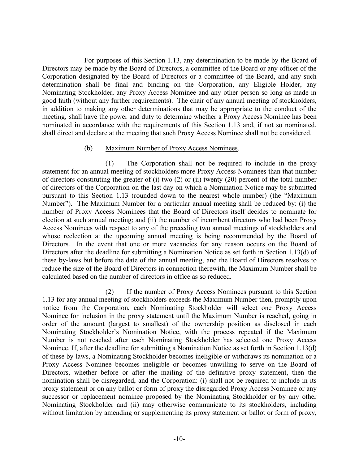For purposes of this Section 1.13, any determination to be made by the Board of Directors may be made by the Board of Directors, a committee of the Board or any officer of the Corporation designated by the Board of Directors or a committee of the Board, and any such determination shall be final and binding on the Corporation, any Eligible Holder, any Nominating Stockholder, any Proxy Access Nominee and any other person so long as made in good faith (without any further requirements). The chair of any annual meeting of stockholders, in addition to making any other determinations that may be appropriate to the conduct of the meeting, shall have the power and duty to determine whether a Proxy Access Nominee has been nominated in accordance with the requirements of this Section 1.13 and, if not so nominated, shall direct and declare at the meeting that such Proxy Access Nominee shall not be considered.

## (b) Maximum Number of Proxy Access Nominees.

(1) The Corporation shall not be required to include in the proxy statement for an annual meeting of stockholders more Proxy Access Nominees than that number of directors constituting the greater of (i) two (2) or (ii) twenty (20) percent of the total number of directors of the Corporation on the last day on which a Nomination Notice may be submitted pursuant to this [Section 1.13](#page-8-0) (rounded down to the nearest whole number) (the "Maximum Number"). The Maximum Number for a particular annual meeting shall be reduced by: (i) the number of Proxy Access Nominees that the Board of Directors itself decides to nominate for election at such annual meeting; and (ii) the number of incumbent directors who had been Proxy Access Nominees with respect to any of the preceding two annual meetings of stockholders and whose reelection at the upcoming annual meeting is being recommended by the Board of Directors. In the event that one or more vacancies for any reason occurs on the Board of Directors after the deadline for submitting a Nomination Notice as set forth in [Section 1.13\(d\)](#page-11-0) of these by-laws but before the date of the annual meeting, and the Board of Directors resolves to reduce the size of the Board of Directors in connection therewith, the Maximum Number shall be calculated based on the number of directors in office as so reduced.

(2) If the number of Proxy Access Nominees pursuant to this Section 1.13 for any annual meeting of stockholders exceeds the Maximum Number then, promptly upon notice from the Corporation, each Nominating Stockholder will select one Proxy Access Nominee for inclusion in the proxy statement until the Maximum Number is reached, going in order of the amount (largest to smallest) of the ownership position as disclosed in each Nominating Stockholder's Nomination Notice, with the process repeated if the Maximum Number is not reached after each Nominating Stockholder has selected one Proxy Access Nominee. If, after the deadline for submitting a Nomination Notice as set forth in [Section 1.13\(d\)](#page-11-0) of these by-laws, a Nominating Stockholder becomes ineligible or withdraws its nomination or a Proxy Access Nominee becomes ineligible or becomes unwilling to serve on the Board of Directors, whether before or after the mailing of the definitive proxy statement, then the nomination shall be disregarded, and the Corporation: (i) shall not be required to include in its proxy statement or on any ballot or form of proxy the disregarded Proxy Access Nominee or any successor or replacement nominee proposed by the Nominating Stockholder or by any other Nominating Stockholder and (ii) may otherwise communicate to its stockholders, including without limitation by amending or supplementing its proxy statement or ballot or form of proxy,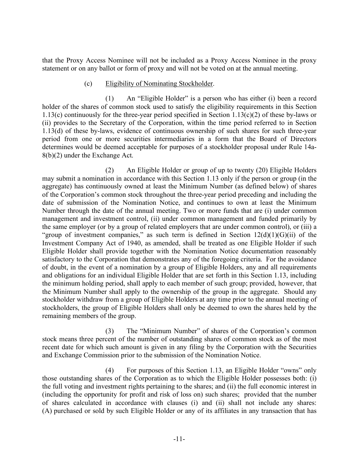that the Proxy Access Nominee will not be included as a Proxy Access Nominee in the proxy statement or on any ballot or form of proxy and will not be voted on at the annual meeting.

## (c) Eligibility of Nominating Stockholder.

<span id="page-10-0"></span>(1) An "Eligible Holder" is a person who has either (i) been a record holder of the shares of common stock used to satisfy the eligibility requirements in this [Section](#page-10-0)  [1.13\(c\)](#page-10-0) continuously for the three-year period specified in [Section 1.13\(c\)\(](#page-10-0)2) of these by-laws or (ii) provides to the Secretary of the Corporation, within the time period referred to in [Section](#page-11-0)  [1.13\(d\)](#page-11-0) of these by-laws, evidence of continuous ownership of such shares for such three-year period from one or more securities intermediaries in a form that the Board of Directors determines would be deemed acceptable for purposes of a stockholder proposal under Rule 14a-8(b)(2) under the Exchange Act.

(2) An Eligible Holder or group of up to twenty (20) Eligible Holders may submit a nomination in accordance with this [Section 1.13](#page-8-0) only if the person or group (in the aggregate) has continuously owned at least the Minimum Number (as defined below) of shares of the Corporation's common stock throughout the three-year period preceding and including the date of submission of the Nomination Notice, and continues to own at least the Minimum Number through the date of the annual meeting. Two or more funds that are (i) under common management and investment control, (ii) under common management and funded primarily by the same employer (or by a group of related employers that are under common control), or (iii) a "group of investment companies," as such term is defined in Section  $12(d)(1)(G)(ii)$  of the Investment Company Act of 1940, as amended, shall be treated as one Eligible Holder if such Eligible Holder shall provide together with the Nomination Notice documentation reasonably satisfactory to the Corporation that demonstrates any of the foregoing criteria. For the avoidance of doubt, in the event of a nomination by a group of Eligible Holders, any and all requirements and obligations for an individual Eligible Holder that are set forth in this [Section 1.13,](#page-8-0) including the minimum holding period, shall apply to each member of such group; provided, however, that the Minimum Number shall apply to the ownership of the group in the aggregate. Should any stockholder withdraw from a group of Eligible Holders at any time prior to the annual meeting of stockholders, the group of Eligible Holders shall only be deemed to own the shares held by the remaining members of the group.

(3) The "Minimum Number" of shares of the Corporation's common stock means three percent of the number of outstanding shares of common stock as of the most recent date for which such amount is given in any filing by the Corporation with the Securities and Exchange Commission prior to the submission of the Nomination Notice.

(4) For purposes of this [Section 1.13,](#page-8-0) an Eligible Holder "owns" only those outstanding shares of the Corporation as to which the Eligible Holder possesses both: (i) the full voting and investment rights pertaining to the shares; and (ii) the full economic interest in (including the opportunity for profit and risk of loss on) such shares; provided that the number of shares calculated in accordance with clauses (i) and (ii) shall not include any shares: (A) purchased or sold by such Eligible Holder or any of its affiliates in any transaction that has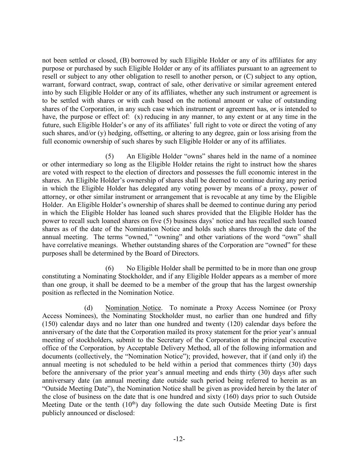not been settled or closed, (B) borrowed by such Eligible Holder or any of its affiliates for any purpose or purchased by such Eligible Holder or any of its affiliates pursuant to an agreement to resell or subject to any other obligation to resell to another person, or (C) subject to any option, warrant, forward contract, swap, contract of sale, other derivative or similar agreement entered into by such Eligible Holder or any of its affiliates, whether any such instrument or agreement is to be settled with shares or with cash based on the notional amount or value of outstanding shares of the Corporation, in any such case which instrument or agreement has, or is intended to have, the purpose or effect of: (x) reducing in any manner, to any extent or at any time in the future, such Eligible Holder's or any of its affiliates' full right to vote or direct the voting of any such shares, and/or (y) hedging, offsetting, or altering to any degree, gain or loss arising from the full economic ownership of such shares by such Eligible Holder or any of its affiliates.

(5) An Eligible Holder "owns" shares held in the name of a nominee or other intermediary so long as the Eligible Holder retains the right to instruct how the shares are voted with respect to the election of directors and possesses the full economic interest in the shares. An Eligible Holder's ownership of shares shall be deemed to continue during any period in which the Eligible Holder has delegated any voting power by means of a proxy, power of attorney, or other similar instrument or arrangement that is revocable at any time by the Eligible Holder. An Eligible Holder's ownership of shares shall be deemed to continue during any period in which the Eligible Holder has loaned such shares provided that the Eligible Holder has the power to recall such loaned shares on five (5) business days' notice and has recalled such loaned shares as of the date of the Nomination Notice and holds such shares through the date of the annual meeting. The terms "owned," "owning" and other variations of the word "own" shall have correlative meanings. Whether outstanding shares of the Corporation are "owned" for these purposes shall be determined by the Board of Directors.

(6) No Eligible Holder shall be permitted to be in more than one group constituting a Nominating Stockholder, and if any Eligible Holder appears as a member of more than one group, it shall be deemed to be a member of the group that has the largest ownership position as reflected in the Nomination Notice.

<span id="page-11-0"></span>(d) Nomination Notice. To nominate a Proxy Access Nominee (or Proxy Access Nominees), the Nominating Stockholder must, no earlier than one hundred and fifty (150) calendar days and no later than one hundred and twenty (120) calendar days before the anniversary of the date that the Corporation mailed its proxy statement for the prior year's annual meeting of stockholders, submit to the Secretary of the Corporation at the principal executive office of the Corporation, by Acceptable Delivery Method, all of the following information and documents (collectively, the "Nomination Notice"); provided, however, that if (and only if) the annual meeting is not scheduled to be held within a period that commences thirty (30) days before the anniversary of the prior year's annual meeting and ends thirty (30) days after such anniversary date (an annual meeting date outside such period being referred to herein as an "Outside Meeting Date"), the Nomination Notice shall be given as provided herein by the later of the close of business on the date that is one hundred and sixty (160) days prior to such Outside Meeting Date or the tenth  $(10<sup>th</sup>)$  day following the date such Outside Meeting Date is first publicly announced or disclosed: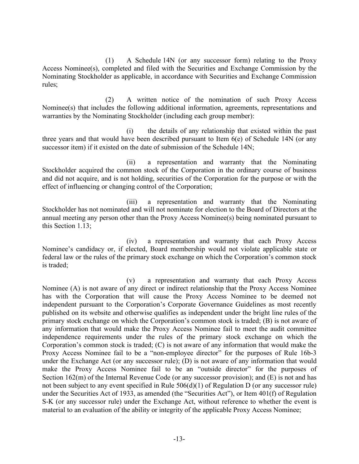(1) A Schedule 14N (or any successor form) relating to the Proxy Access Nominee(s), completed and filed with the Securities and Exchange Commission by the Nominating Stockholder as applicable, in accordance with Securities and Exchange Commission rules;

(2) A written notice of the nomination of such Proxy Access Nominee(s) that includes the following additional information, agreements, representations and warranties by the Nominating Stockholder (including each group member):

(i) the details of any relationship that existed within the past three years and that would have been described pursuant to Item 6(e) of Schedule 14N (or any successor item) if it existed on the date of submission of the Schedule 14N;

(ii) a representation and warranty that the Nominating Stockholder acquired the common stock of the Corporation in the ordinary course of business and did not acquire, and is not holding, securities of the Corporation for the purpose or with the effect of influencing or changing control of the Corporation;

(iii) a representation and warranty that the Nominating Stockholder has not nominated and will not nominate for election to the Board of Directors at the annual meeting any person other than the Proxy Access Nominee(s) being nominated pursuant to this [Section 1.13;](#page-8-0)

(iv) a representation and warranty that each Proxy Access Nominee's candidacy or, if elected, Board membership would not violate applicable state or federal law or the rules of the primary stock exchange on which the Corporation's common stock is traded;

(v) a representation and warranty that each Proxy Access Nominee (A) is not aware of any direct or indirect relationship that the Proxy Access Nominee has with the Corporation that will cause the Proxy Access Nominee to be deemed not independent pursuant to the Corporation's Corporate Governance Guidelines as most recently published on its website and otherwise qualifies as independent under the bright line rules of the primary stock exchange on which the Corporation's common stock is traded; (B) is not aware of any information that would make the Proxy Access Nominee fail to meet the audit committee independence requirements under the rules of the primary stock exchange on which the Corporation's common stock is traded; (C) is not aware of any information that would make the Proxy Access Nominee fail to be a "non-employee director" for the purposes of Rule 16b-3 under the Exchange Act (or any successor rule); (D) is not aware of any information that would make the Proxy Access Nominee fail to be an "outside director" for the purposes of Section 162(m) of the Internal Revenue Code (or any successor provision); and (E) is not and has not been subject to any event specified in Rule 506(d)(1) of Regulation D (or any successor rule) under the Securities Act of 1933, as amended (the "Securities Act"), or Item 401(f) of Regulation S-K (or any successor rule) under the Exchange Act, without reference to whether the event is material to an evaluation of the ability or integrity of the applicable Proxy Access Nominee;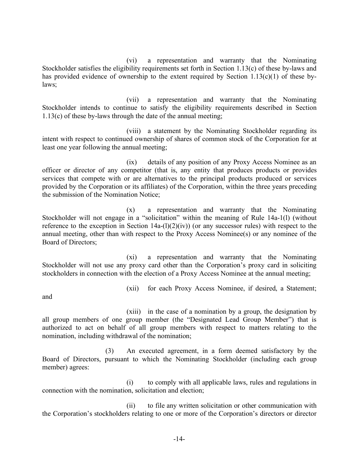(vi) a representation and warranty that the Nominating Stockholder satisfies the eligibility requirements set forth in [Section 1.13\(c\)](#page-10-0) of these by-laws and has provided evidence of ownership to the extent required by [Section 1.13\(c\)\(](#page-10-0)1) of these bylaws;

(vii) a representation and warranty that the Nominating Stockholder intends to continue to satisfy the eligibility requirements described in [Section](#page-10-0)  [1.13\(c\)](#page-10-0) of these by-laws through the date of the annual meeting;

(viii) a statement by the Nominating Stockholder regarding its intent with respect to continued ownership of shares of common stock of the Corporation for at least one year following the annual meeting;

(ix) details of any position of any Proxy Access Nominee as an officer or director of any competitor (that is, any entity that produces products or provides services that compete with or are alternatives to the principal products produced or services provided by the Corporation or its affiliates) of the Corporation, within the three years preceding the submission of the Nomination Notice;

(x) a representation and warranty that the Nominating Stockholder will not engage in a "solicitation" within the meaning of Rule 14a-1(l) (without reference to the exception in Section  $14a-(1)(2)(iv)$  (or any successor rules) with respect to the annual meeting, other than with respect to the Proxy Access Nominee(s) or any nominee of the Board of Directors;

(xi) a representation and warranty that the Nominating Stockholder will not use any proxy card other than the Corporation's proxy card in soliciting stockholders in connection with the election of a Proxy Access Nominee at the annual meeting;

(xii) for each Proxy Access Nominee, if desired, a Statement;

and

(xiii) in the case of a nomination by a group, the designation by all group members of one group member (the "Designated Lead Group Member") that is authorized to act on behalf of all group members with respect to matters relating to the nomination, including withdrawal of the nomination;

(3) An executed agreement, in a form deemed satisfactory by the Board of Directors, pursuant to which the Nominating Stockholder (including each group member) agrees:

(i) to comply with all applicable laws, rules and regulations in connection with the nomination, solicitation and election;

(ii) to file any written solicitation or other communication with the Corporation's stockholders relating to one or more of the Corporation's directors or director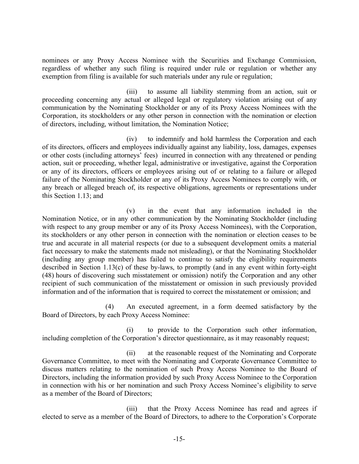nominees or any Proxy Access Nominee with the Securities and Exchange Commission, regardless of whether any such filing is required under rule or regulation or whether any exemption from filing is available for such materials under any rule or regulation;

(iii) to assume all liability stemming from an action, suit or proceeding concerning any actual or alleged legal or regulatory violation arising out of any communication by the Nominating Stockholder or any of its Proxy Access Nominees with the Corporation, its stockholders or any other person in connection with the nomination or election of directors, including, without limitation, the Nomination Notice;

(iv) to indemnify and hold harmless the Corporation and each of its directors, officers and employees individually against any liability, loss, damages, expenses or other costs (including attorneys' fees) incurred in connection with any threatened or pending action, suit or proceeding, whether legal, administrative or investigative, against the Corporation or any of its directors, officers or employees arising out of or relating to a failure or alleged failure of the Nominating Stockholder or any of its Proxy Access Nominees to comply with, or any breach or alleged breach of, its respective obligations, agreements or representations under this [Section 1.13;](#page-8-0) and

(v) in the event that any information included in the Nomination Notice, or in any other communication by the Nominating Stockholder (including with respect to any group member or any of its Proxy Access Nominees), with the Corporation, its stockholders or any other person in connection with the nomination or election ceases to be true and accurate in all material respects (or due to a subsequent development omits a material fact necessary to make the statements made not misleading), or that the Nominating Stockholder (including any group member) has failed to continue to satisfy the eligibility requirements described in [Section 1.13\(c\)](#page-10-0) of these by-laws, to promptly (and in any event within forty-eight (48) hours of discovering such misstatement or omission) notify the Corporation and any other recipient of such communication of the misstatement or omission in such previously provided information and of the information that is required to correct the misstatement or omission; and

(4) An executed agreement, in a form deemed satisfactory by the Board of Directors, by each Proxy Access Nominee:

(i) to provide to the Corporation such other information, including completion of the Corporation's director questionnaire, as it may reasonably request;

(ii) at the reasonable request of the Nominating and Corporate Governance Committee, to meet with the Nominating and Corporate Governance Committee to discuss matters relating to the nomination of such Proxy Access Nominee to the Board of Directors, including the information provided by such Proxy Access Nominee to the Corporation in connection with his or her nomination and such Proxy Access Nominee's eligibility to serve as a member of the Board of Directors;

(iii) that the Proxy Access Nominee has read and agrees if elected to serve as a member of the Board of Directors, to adhere to the Corporation's Corporate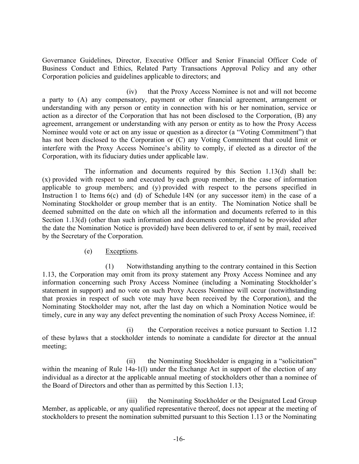Governance Guidelines, Director, Executive Officer and Senior Financial Officer Code of Business Conduct and Ethics, Related Party Transactions Approval Policy and any other Corporation policies and guidelines applicable to directors; and

(iv) that the Proxy Access Nominee is not and will not become a party to (A) any compensatory, payment or other financial agreement, arrangement or understanding with any person or entity in connection with his or her nomination, service or action as a director of the Corporation that has not been disclosed to the Corporation, (B) any agreement, arrangement or understanding with any person or entity as to how the Proxy Access Nominee would vote or act on any issue or question as a director (a "Voting Commitment") that has not been disclosed to the Corporation or (C) any Voting Commitment that could limit or interfere with the Proxy Access Nominee's ability to comply, if elected as a director of the Corporation, with its fiduciary duties under applicable law.

The information and documents required by this [Section 1.13\(d\)](#page-11-0) shall be: (x) provided with respect to and executed by each group member, in the case of information applicable to group members; and (y) provided with respect to the persons specified in Instruction 1 to Items 6(c) and (d) of Schedule 14N (or any successor item) in the case of a Nominating Stockholder or group member that is an entity. The Nomination Notice shall be deemed submitted on the date on which all the information and documents referred to in this [Section 1.13\(d\)](#page-11-0) (other than such information and documents contemplated to be provided after the date the Nomination Notice is provided) have been delivered to or, if sent by mail, received by the Secretary of the Corporation.

# (e) Exceptions.

(1) Notwithstanding anything to the contrary contained in this [Section](#page-8-0)  [1.13,](#page-8-0) the Corporation may omit from its proxy statement any Proxy Access Nominee and any information concerning such Proxy Access Nominee (including a Nominating Stockholder's statement in support) and no vote on such Proxy Access Nominee will occur (notwithstanding that proxies in respect of such vote may have been received by the Corporation), and the Nominating Stockholder may not, after the last day on which a Nomination Notice would be timely, cure in any way any defect preventing the nomination of such Proxy Access Nominee, if:

(i) the Corporation receives a notice pursuant to Section 1.12 of these bylaws that a stockholder intends to nominate a candidate for director at the annual meeting;

(ii) the Nominating Stockholder is engaging in a "solicitation" within the meaning of Rule 14a-1(1) under the Exchange Act in support of the election of any individual as a director at the applicable annual meeting of stockholders other than a nominee of the Board of Directors and other than as permitted by this [Section 1.13;](#page-8-0)

(iii) the Nominating Stockholder or the Designated Lead Group Member, as applicable, or any qualified representative thereof, does not appear at the meeting of stockholders to present the nomination submitted pursuant to this [Section 1.13](#page-8-0) or the Nominating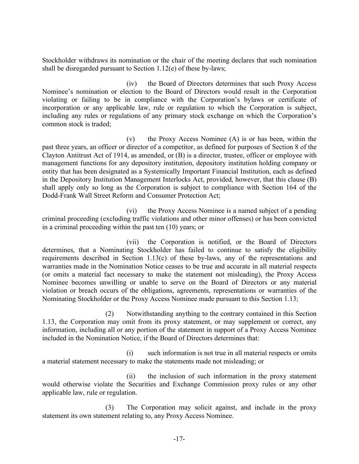Stockholder withdraws its nomination or the chair of the meeting declares that such nomination shall be disregarded pursuant to Section 1.12(e) of these by-laws;

(iv) the Board of Directors determines that such Proxy Access Nominee's nomination or election to the Board of Directors would result in the Corporation violating or failing to be in compliance with the Corporation's bylaws or certificate of incorporation or any applicable law, rule or regulation to which the Corporation is subject, including any rules or regulations of any primary stock exchange on which the Corporation's common stock is traded;

(v) the Proxy Access Nominee (A) is or has been, within the past three years, an officer or director of a competitor, as defined for purposes of Section 8 of the Clayton Antitrust Act of 1914, as amended, or (B) is a director, trustee, officer or employee with management functions for any depository institution, depository institution holding company or entity that has been designated as a Systemically Important Financial Institution, each as defined in the Depository Institution Management Interlocks Act, provided, however, that this clause (B) shall apply only so long as the Corporation is subject to compliance with Section 164 of the Dodd-Frank Wall Street Reform and Consumer Protection Act;

(vi) the Proxy Access Nominee is a named subject of a pending criminal proceeding (excluding traffic violations and other minor offenses) or has been convicted in a criminal proceeding within the past ten (10) years; or

(vii) the Corporation is notified, or the Board of Directors determines, that a Nominating Stockholder has failed to continue to satisfy the eligibility requirements described in [Section 1.13\(c\)](#page-10-0) of these by-laws, any of the representations and warranties made in the Nomination Notice ceases to be true and accurate in all material respects (or omits a material fact necessary to make the statement not misleading), the Proxy Access Nominee becomes unwilling or unable to serve on the Board of Directors or any material violation or breach occurs of the obligations, agreements, representations or warranties of the Nominating Stockholder or the Proxy Access Nominee made pursuant to this [Section 1.13;](#page-8-0)

(2) Notwithstanding anything to the contrary contained in this [Section](#page-8-0)  [1.13,](#page-8-0) the Corporation may omit from its proxy statement, or may supplement or correct, any information, including all or any portion of the statement in support of a Proxy Access Nominee included in the Nomination Notice, if the Board of Directors determines that:

(i) such information is not true in all material respects or omits a material statement necessary to make the statements made not misleading; or

(ii) the inclusion of such information in the proxy statement would otherwise violate the Securities and Exchange Commission proxy rules or any other applicable law, rule or regulation.

(3) The Corporation may solicit against, and include in the proxy statement its own statement relating to, any Proxy Access Nominee.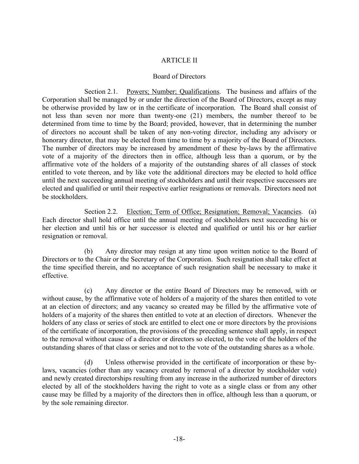# ARTICLE II

## Board of Directors

<span id="page-17-0"></span>Section 2.1. Powers; Number; Qualifications. The business and affairs of the Corporation shall be managed by or under the direction of the Board of Directors, except as may be otherwise provided by law or in the certificate of incorporation. The Board shall consist of not less than seven nor more than twenty-one (21) members, the number thereof to be determined from time to time by the Board; provided, however, that in determining the number of directors no account shall be taken of any non-voting director, including any advisory or honorary director, that may be elected from time to time by a majority of the Board of Directors. The number of directors may be increased by amendment of these by-laws by the affirmative vote of a majority of the directors then in office, although less than a quorum, or by the affirmative vote of the holders of a majority of the outstanding shares of all classes of stock entitled to vote thereon, and by like vote the additional directors may be elected to hold office until the next succeeding annual meeting of stockholders and until their respective successors are elected and qualified or until their respective earlier resignations or removals. Directors need not be stockholders.

Section 2.2. Election; Term of Office; Resignation; Removal; Vacancies. (a) Each director shall hold office until the annual meeting of stockholders next succeeding his or her election and until his or her successor is elected and qualified or until his or her earlier resignation or removal.

(b) Any director may resign at any time upon written notice to the Board of Directors or to the Chair or the Secretary of the Corporation. Such resignation shall take effect at the time specified therein, and no acceptance of such resignation shall be necessary to make it effective.

(c) Any director or the entire Board of Directors may be removed, with or without cause, by the affirmative vote of holders of a majority of the shares then entitled to vote at an election of directors; and any vacancy so created may be filled by the affirmative vote of holders of a majority of the shares then entitled to vote at an election of directors. Whenever the holders of any class or series of stock are entitled to elect one or more directors by the provisions of the certificate of incorporation, the provisions of the preceding sentence shall apply, in respect to the removal without cause of a director or directors so elected, to the vote of the holders of the outstanding shares of that class or series and not to the vote of the outstanding shares as a whole.

(d) Unless otherwise provided in the certificate of incorporation or these bylaws, vacancies (other than any vacancy created by removal of a director by stockholder vote) and newly created directorships resulting from any increase in the authorized number of directors elected by all of the stockholders having the right to vote as a single class or from any other cause may be filled by a majority of the directors then in office, although less than a quorum, or by the sole remaining director.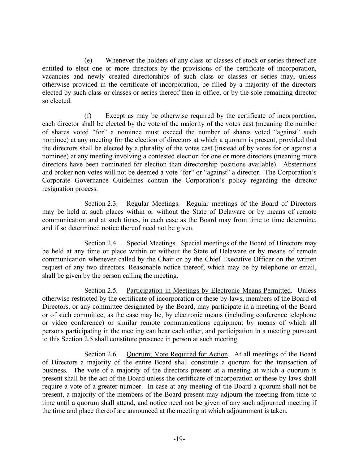(e) Whenever the holders of any class or classes of stock or series thereof are entitled to elect one or more directors by the provisions of the certificate of incorporation, vacancies and newly created directorships of such class or classes or series may, unless otherwise provided in the certificate of incorporation, be filled by a majority of the directors elected by such class or classes or series thereof then in office, or by the sole remaining director so elected.

(f) Except as may be otherwise required by the certificate of incorporation, each director shall be elected by the vote of the majority of the votes cast (meaning the number of shares voted "for" a nominee must exceed the number of shares voted "against" such nominee) at any meeting for the election of directors at which a quorum is present, provided that the directors shall be elected by a plurality of the votes cast (instead of by votes for or against a nominee) at any meeting involving a contested election for one or more directors (meaning more directors have been nominated for election than directorship positions available). Abstentions and broker non-votes will not be deemed a vote "for" or "against" a director. The Corporation's Corporate Governance Guidelines contain the Corporation's policy regarding the director resignation process.

Section 2.3. Regular Meetings. Regular meetings of the Board of Directors may be held at such places within or without the State of Delaware or by means of remote communication and at such times, in each case as the Board may from time to time determine, and if so determined notice thereof need not be given.

Section 2.4. Special Meetings. Special meetings of the Board of Directors may be held at any time or place within or without the State of Delaware or by means of remote communication whenever called by the Chair or by the Chief Executive Officer on the written request of any two directors. Reasonable notice thereof, which may be by telephone or email, shall be given by the person calling the meeting.

<span id="page-18-0"></span>Section 2.5. Participation in Meetings by Electronic Means Permitted. Unless otherwise restricted by the certificate of incorporation or these by-laws, members of the Board of Directors, or any committee designated by the Board, may participate in a meeting of the Board or of such committee, as the case may be, by electronic means (including conference telephone or video conference) or similar remote communications equipment by means of which all persons participating in the meeting can hear each other, and participation in a meeting pursuant to this [Section 2.5](#page-18-0) shall constitute presence in person at such meeting.

Section 2.6. Quorum; Vote Required for Action. At all meetings of the Board of Directors a majority of the entire Board shall constitute a quorum for the transaction of business. The vote of a majority of the directors present at a meeting at which a quorum is present shall be the act of the Board unless the certificate of incorporation or these by-laws shall require a vote of a greater number. In case at any meeting of the Board a quorum shall not be present, a majority of the members of the Board present may adjourn the meeting from time to time until a quorum shall attend, and notice need not be given of any such adjourned meeting if the time and place thereof are announced at the meeting at which adjournment is taken.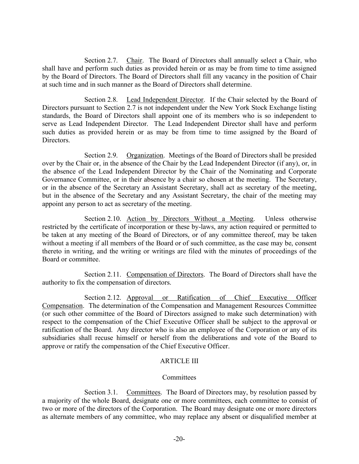<span id="page-19-0"></span>Section 2.7. Chair. The Board of Directors shall annually select a Chair, who shall have and perform such duties as provided herein or as may be from time to time assigned by the Board of Directors. The Board of Directors shall fill any vacancy in the position of Chair at such time and in such manner as the Board of Directors shall determine.

Section 2.8. Lead Independent Director. If the Chair selected by the Board of Directors pursuant to [Section 2.7](#page-19-0) is not independent under the New York Stock Exchange listing standards, the Board of Directors shall appoint one of its members who is so independent to serve as Lead Independent Director. The Lead Independent Director shall have and perform such duties as provided herein or as may be from time to time assigned by the Board of **Directors** 

Section 2.9. Organization. Meetings of the Board of Directors shall be presided over by the Chair or, in the absence of the Chair by the Lead Independent Director (if any), or, in the absence of the Lead Independent Director by the Chair of the Nominating and Corporate Governance Committee, or in their absence by a chair so chosen at the meeting. The Secretary, or in the absence of the Secretary an Assistant Secretary, shall act as secretary of the meeting, but in the absence of the Secretary and any Assistant Secretary, the chair of the meeting may appoint any person to act as secretary of the meeting.

Section 2.10. Action by Directors Without a Meeting. Unless otherwise restricted by the certificate of incorporation or these by-laws, any action required or permitted to be taken at any meeting of the Board of Directors, or of any committee thereof, may be taken without a meeting if all members of the Board or of such committee, as the case may be, consent thereto in writing, and the writing or writings are filed with the minutes of proceedings of the Board or committee.

Section 2.11. Compensation of Directors. The Board of Directors shall have the authority to fix the compensation of directors.

Section 2.12. Approval or Ratification of Chief Executive Officer Compensation. The determination of the Compensation and Management Resources Committee (or such other committee of the Board of Directors assigned to make such determination) with respect to the compensation of the Chief Executive Officer shall be subject to the approval or ratification of the Board. Any director who is also an employee of the Corporation or any of its subsidiaries shall recuse himself or herself from the deliberations and vote of the Board to approve or ratify the compensation of the Chief Executive Officer.

# ARTICLE III

# **Committees**

Section 3.1. Committees. The Board of Directors may, by resolution passed by a majority of the whole Board, designate one or more committees, each committee to consist of two or more of the directors of the Corporation. The Board may designate one or more directors as alternate members of any committee, who may replace any absent or disqualified member at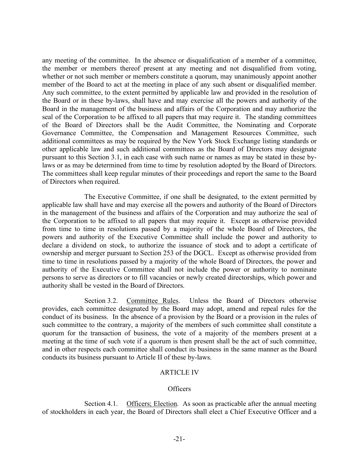any meeting of the committee. In the absence or disqualification of a member of a committee, the member or members thereof present at any meeting and not disqualified from voting, whether or not such member or members constitute a quorum, may unanimously appoint another member of the Board to act at the meeting in place of any such absent or disqualified member. Any such committee, to the extent permitted by applicable law and provided in the resolution of the Board or in these by-laws, shall have and may exercise all the powers and authority of the Board in the management of the business and affairs of the Corporation and may authorize the seal of the Corporation to be affixed to all papers that may require it. The standing committees of the Board of Directors shall be the Audit Committee, the Nominating and Corporate Governance Committee, the Compensation and Management Resources Committee, such additional committees as may be required by the New York Stock Exchange listing standards or other applicable law and such additional committees as the Board of Directors may designate pursuant to this Section 3.1, in each case with such name or names as may be stated in these bylaws or as may be determined from time to time by resolution adopted by the Board of Directors. The committees shall keep regular minutes of their proceedings and report the same to the Board of Directors when required.

The Executive Committee, if one shall be designated, to the extent permitted by applicable law shall have and may exercise all the powers and authority of the Board of Directors in the management of the business and affairs of the Corporation and may authorize the seal of the Corporation to be affixed to all papers that may require it. Except as otherwise provided from time to time in resolutions passed by a majority of the whole Board of Directors, the powers and authority of the Executive Committee shall include the power and authority to declare a dividend on stock, to authorize the issuance of stock and to adopt a certificate of ownership and merger pursuant to Section 253 of the DGCL. Except as otherwise provided from time to time in resolutions passed by a majority of the whole Board of Directors, the power and authority of the Executive Committee shall not include the power or authority to nominate persons to serve as directors or to fill vacancies or newly created directorships, which power and authority shall be vested in the Board of Directors.

Section 3.2. Committee Rules. Unless the Board of Directors otherwise provides, each committee designated by the Board may adopt, amend and repeal rules for the conduct of its business. In the absence of a provision by the Board or a provision in the rules of such committee to the contrary, a majority of the members of such committee shall constitute a quorum for the transaction of business, the vote of a majority of the members present at a meeting at the time of such vote if a quorum is then present shall be the act of such committee, and in other respects each committee shall conduct its business in the same manner as the Board conducts its business pursuant to Article II of these by-laws.

## ARTICLE IV

#### Officers

Section 4.1. Officers; Election. As soon as practicable after the annual meeting of stockholders in each year, the Board of Directors shall elect a Chief Executive Officer and a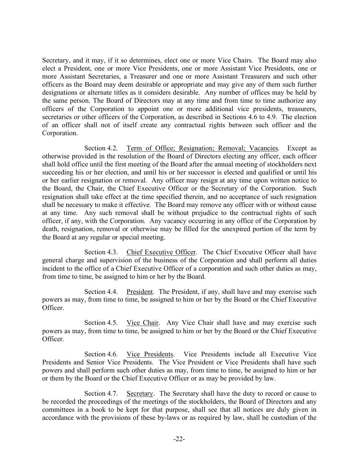Secretary, and it may, if it so determines, elect one or more Vice Chairs. The Board may also elect a President, one or more Vice Presidents, one or more Assistant Vice Presidents, one or more Assistant Secretaries, a Treasurer and one or more Assistant Treasurers and such other officers as the Board may deem desirable or appropriate and may give any of them such further designations or alternate titles as it considers desirable. Any number of offices may be held by the same person. The Board of Directors may at any time and from time to time authorize any officers of the Corporation to appoint one or more additional vice presidents, treasurers, secretaries or other officers of the Corporation, as described in [Sections 4.6 to 4.9.](#page-22-0) The election of an officer shall not of itself create any contractual rights between such officer and the Corporation.

Section 4.2. Term of Office; Resignation; Removal; Vacancies. Except as otherwise provided in the resolution of the Board of Directors electing any officer, each officer shall hold office until the first meeting of the Board after the annual meeting of stockholders next succeeding his or her election, and until his or her successor is elected and qualified or until his or her earlier resignation or removal. Any officer may resign at any time upon written notice to the Board, the Chair, the Chief Executive Officer or the Secretary of the Corporation. Such resignation shall take effect at the time specified therein, and no acceptance of such resignation shall be necessary to make it effective. The Board may remove any officer with or without cause at any time. Any such removal shall be without prejudice to the contractual rights of such officer, if any, with the Corporation. Any vacancy occurring in any office of the Corporation by death, resignation, removal or otherwise may be filled for the unexpired portion of the term by the Board at any regular or special meeting.

Section 4.3. Chief Executive Officer. The Chief Executive Officer shall have general charge and supervision of the business of the Corporation and shall perform all duties incident to the office of a Chief Executive Officer of a corporation and such other duties as may, from time to time, be assigned to him or her by the Board.

Section 4.4. President. The President, if any, shall have and may exercise such powers as may, from time to time, be assigned to him or her by the Board or the Chief Executive **Officer** 

Section 4.5. Vice Chair. Any Vice Chair shall have and may exercise such powers as may, from time to time, be assigned to him or her by the Board or the Chief Executive Officer.

Section 4.6. Vice Presidents. Vice Presidents include all Executive Vice Presidents and Senior Vice Presidents. The Vice President or Vice Presidents shall have such powers and shall perform such other duties as may, from time to time, be assigned to him or her or them by the Board or the Chief Executive Officer or as may be provided by law.

Section 4.7. Secretary. The Secretary shall have the duty to record or cause to be recorded the proceedings of the meetings of the stockholders, the Board of Directors and any committees in a book to be kept for that purpose, shall see that all notices are duly given in accordance with the provisions of these by-laws or as required by law, shall be custodian of the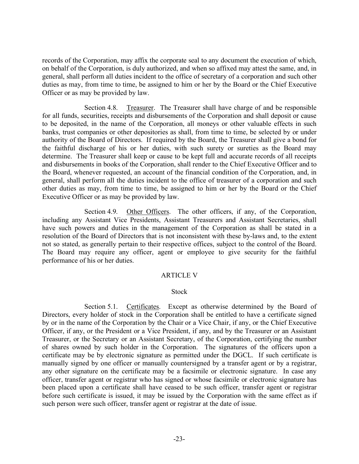<span id="page-22-0"></span>records of the Corporation, may affix the corporate seal to any document the execution of which, on behalf of the Corporation, is duly authorized, and when so affixed may attest the same, and, in general, shall perform all duties incident to the office of secretary of a corporation and such other duties as may, from time to time, be assigned to him or her by the Board or the Chief Executive Officer or as may be provided by law.

Section 4.8. Treasurer. The Treasurer shall have charge of and be responsible for all funds, securities, receipts and disbursements of the Corporation and shall deposit or cause to be deposited, in the name of the Corporation, all moneys or other valuable effects in such banks, trust companies or other depositories as shall, from time to time, be selected by or under authority of the Board of Directors. If required by the Board, the Treasurer shall give a bond for the faithful discharge of his or her duties, with such surety or sureties as the Board may determine. The Treasurer shall keep or cause to be kept full and accurate records of all receipts and disbursements in books of the Corporation, shall render to the Chief Executive Officer and to the Board, whenever requested, an account of the financial condition of the Corporation, and, in general, shall perform all the duties incident to the office of treasurer of a corporation and such other duties as may, from time to time, be assigned to him or her by the Board or the Chief Executive Officer or as may be provided by law.

Section 4.9. Other Officers. The other officers, if any, of the Corporation, including any Assistant Vice Presidents, Assistant Treasurers and Assistant Secretaries, shall have such powers and duties in the management of the Corporation as shall be stated in a resolution of the Board of Directors that is not inconsistent with these by-laws and, to the extent not so stated, as generally pertain to their respective offices, subject to the control of the Board. The Board may require any officer, agent or employee to give security for the faithful performance of his or her duties.

## ARTICLE V

## **Stock**

Section 5.1. Certificates. Except as otherwise determined by the Board of Directors, every holder of stock in the Corporation shall be entitled to have a certificate signed by or in the name of the Corporation by the Chair or a Vice Chair, if any, or the Chief Executive Officer, if any, or the President or a Vice President, if any, and by the Treasurer or an Assistant Treasurer, or the Secretary or an Assistant Secretary, of the Corporation, certifying the number of shares owned by such holder in the Corporation. The signatures of the officers upon a certificate may be by electronic signature as permitted under the DGCL. If such certificate is manually signed by one officer or manually countersigned by a transfer agent or by a registrar, any other signature on the certificate may be a facsimile or electronic signature. In case any officer, transfer agent or registrar who has signed or whose facsimile or electronic signature has been placed upon a certificate shall have ceased to be such officer, transfer agent or registrar before such certificate is issued, it may be issued by the Corporation with the same effect as if such person were such officer, transfer agent or registrar at the date of issue.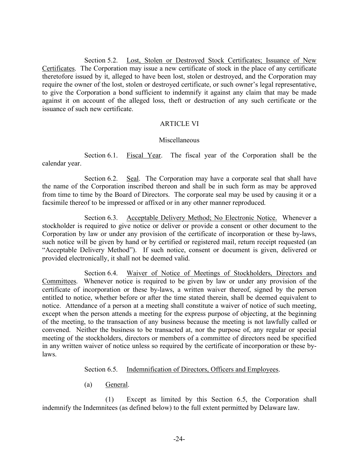Section 5.2. Lost, Stolen or Destroyed Stock Certificates; Issuance of New Certificates. The Corporation may issue a new certificate of stock in the place of any certificate theretofore issued by it, alleged to have been lost, stolen or destroyed, and the Corporation may require the owner of the lost, stolen or destroyed certificate, or such owner's legal representative, to give the Corporation a bond sufficient to indemnify it against any claim that may be made against it on account of the alleged loss, theft or destruction of any such certificate or the issuance of such new certificate.

## ARTICLE VI

## Miscellaneous

Section 6.1. Fiscal Year. The fiscal year of the Corporation shall be the calendar year.

Section 6.2. Seal. The Corporation may have a corporate seal that shall have the name of the Corporation inscribed thereon and shall be in such form as may be approved from time to time by the Board of Directors. The corporate seal may be used by causing it or a facsimile thereof to be impressed or affixed or in any other manner reproduced.

<span id="page-23-0"></span>Section 6.3. Acceptable Delivery Method; No Electronic Notice. Whenever a stockholder is required to give notice or deliver or provide a consent or other document to the Corporation by law or under any provision of the certificate of incorporation or these by-laws, such notice will be given by hand or by certified or registered mail, return receipt requested (an "Acceptable Delivery Method"). If such notice, consent or document is given, delivered or provided electronically, it shall not be deemed valid.

Section 6.4. Waiver of Notice of Meetings of Stockholders, Directors and Committees. Whenever notice is required to be given by law or under any provision of the certificate of incorporation or these by-laws, a written waiver thereof, signed by the person entitled to notice, whether before or after the time stated therein, shall be deemed equivalent to notice. Attendance of a person at a meeting shall constitute a waiver of notice of such meeting, except when the person attends a meeting for the express purpose of objecting, at the beginning of the meeting, to the transaction of any business because the meeting is not lawfully called or convened. Neither the business to be transacted at, nor the purpose of, any regular or special meeting of the stockholders, directors or members of a committee of directors need be specified in any written waiver of notice unless so required by the certificate of incorporation or these bylaws.

Section 6.5. Indemnification of Directors, Officers and Employees.

(a) General.

<span id="page-23-1"></span>(1) Except as limited by this [Section 6.5,](#page-23-1) the Corporation shall indemnify the Indemnitees (as defined below) to the full extent permitted by Delaware law.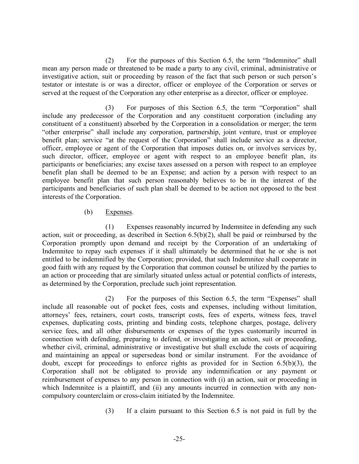<span id="page-24-1"></span>(2) For the purposes of this Section 6.5, the term "Indemnitee" shall mean any person made or threatened to be made a party to any civil, criminal, administrative or investigative action, suit or proceeding by reason of the fact that such person or such person's testator or intestate is or was a director, officer or employee of the Corporation or serves or served at the request of the Corporation any other enterprise as a director, officer or employee.

(3) For purposes of this Section 6.5, the term "Corporation" shall include any predecessor of the Corporation and any constituent corporation (including any constituent of a constituent) absorbed by the Corporation in a consolidation or merger; the term "other enterprise" shall include any corporation, partnership, joint venture, trust or employee benefit plan; service "at the request of the Corporation" shall include service as a director, officer, employee or agent of the Corporation that imposes duties on, or involves services by, such director, officer, employee or agent with respect to an employee benefit plan, its participants or beneficiaries; any excise taxes assessed on a person with respect to an employee benefit plan shall be deemed to be an Expense; and action by a person with respect to an employee benefit plan that such person reasonably believes to be in the interest of the participants and beneficiaries of such plan shall be deemed to be action not opposed to the best interests of the Corporation.

## (b) Expenses.

<span id="page-24-0"></span>(1) Expenses reasonably incurred by Indemnitee in defending any such action, suit or proceeding, as described in [Section 6.5\(b\)\(](#page-24-0)2), shall be paid or reimbursed by the Corporation promptly upon demand and receipt by the Corporation of an undertaking of Indemnitee to repay such expenses if it shall ultimately be determined that he or she is not entitled to be indemnified by the Corporation; provided, that such Indemnitee shall cooperate in good faith with any request by the Corporation that common counsel be utilized by the parties to an action or proceeding that are similarly situated unless actual or potential conflicts of interests, as determined by the Corporation, preclude such joint representation.

(2) For the purposes of this [Section 6.5,](#page-23-1) the term "Expenses" shall include all reasonable out of pocket fees, costs and expenses, including without limitation, attorneys' fees, retainers, court costs, transcript costs, fees of experts, witness fees, travel expenses, duplicating costs, printing and binding costs, telephone charges, postage, delivery service fees, and all other disbursements or expenses of the types customarily incurred in connection with defending, preparing to defend, or investigating an action, suit or proceeding, whether civil, criminal, administrative or investigative but shall exclude the costs of acquiring and maintaining an appeal or supersedeas bond or similar instrument. For the avoidance of doubt, except for proceedings to enforce rights as provided for in [Section 6.5\(b\)\(](#page-24-0)3), the Corporation shall not be obligated to provide any indemnification or any payment or reimbursement of expenses to any person in connection with (i) an action, suit or proceeding in which Indemnitee is a plaintiff, and (ii) any amounts incurred in connection with any noncompulsory counterclaim or cross-claim initiated by the Indemnitee.

(3) If a claim pursuant to this [Section 6.5](#page-23-1) is not paid in full by the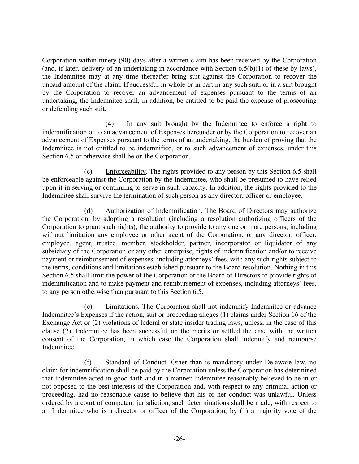Corporation within ninety (90) days after a written claim has been received by the Corporation (and, if later, delivery of an undertaking in accordance with [Section 6.5\(b\)\(](#page-24-0)1) of these by-laws), the Indemnitee may at any time thereafter bring suit against the Corporation to recover the unpaid amount of the claim. If successful in whole or in part in any such suit, or in a suit brought by the Corporation to recover an advancement of expenses pursuant to the terms of an undertaking, the Indemnitee shall, in addition, be entitled to be paid the expense of prosecuting or defending such suit.

(4) In any suit brought by the Indemnitee to enforce a right to indemnification or to an advancement of Expenses hereunder or by the Corporation to recover an advancement of Expenses pursuant to the terms of an undertaking, the burden of proving that the Indemnitee is not entitled to be indemnified, or to such advancement of expenses, under this [Section 6.5](#page-24-1) or otherwise shall be on the Corporation.

(c) Enforceability. The rights provided to any person by this [Section 6.5](#page-4-3) shall be enforceable against the Corporation by the Indemnitee, who shall be presumed to have relied upon it in serving or continuing to serve in such capacity. In addition, the rights provided to the Indemnitee shall survive the termination of such person as any director, officer or employee.

(d) Authorization of Indemnification. The Board of Directors may authorize the Corporation, by adopting a resolution (including a resolution authorizing officers of the Corporation to grant such rights), the authority to provide to any one or more persons, including without limitation any employee or other agent of the Corporation, or any director, officer, employee, agent, trustee, member, stockholder, partner, incorporator or liquidator of any subsidiary of the Corporation or any other enterprise, rights of indemnification and/or to receive payment or reimbursement of expenses, including attorneys' fees, with any such rights subject to the terms, conditions and limitations established pursuant to the Board resolution. Nothing in this [Section 6.5](#page-23-1) shall limit the power of the Corporation or the Board of Directors to provide rights of indemnification and to make payment and reimbursement of expenses, including attorneys' fees, to any person otherwise than pursuant to this [Section 6.5.](#page-24-1) 

(e) Limitations. The Corporation shall not indemnify Indemnitee or advance Indemnitee's Expenses if the action, suit or proceeding alleges (1) claims under Section 16 of the Exchange Act or (2) violations of federal or state insider trading laws, unless, in the case of this clause (2), Indemnitee has been successful on the merits or settled the case with the written consent of the Corporation, in which case the Corporation shall indemnify and reimburse Indemnitee.

(f) Standard of Conduct. Other than is mandatory under Delaware law, no claim for indemnification shall be paid by the Corporation unless the Corporation has determined that Indemnitee acted in good faith and in a manner Indemnitee reasonably believed to be in or not opposed to the best interests of the Corporation and, with respect to any criminal action or proceeding, had no reasonable cause to believe that his or her conduct was unlawful. Unless ordered by a court of competent jurisdiction, such determinations shall be made, with respect to an Indemnitee who is a director or officer of the Corporation, by (1) a majority vote of the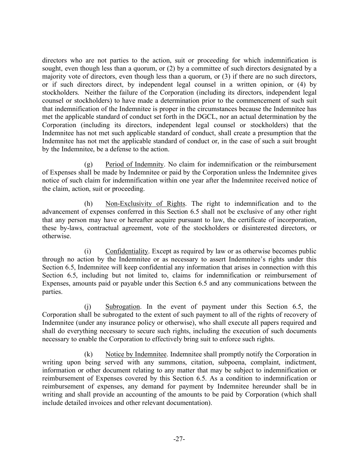directors who are not parties to the action, suit or proceeding for which indemnification is sought, even though less than a quorum, or (2) by a committee of such directors designated by a majority vote of directors, even though less than a quorum, or (3) if there are no such directors, or if such directors direct, by independent legal counsel in a written opinion, or (4) by stockholders. Neither the failure of the Corporation (including its directors, independent legal counsel or stockholders) to have made a determination prior to the commencement of such suit that indemnification of the Indemnitee is proper in the circumstances because the Indemnitee has met the applicable standard of conduct set forth in the DGCL, nor an actual determination by the Corporation (including its directors, independent legal counsel or stockholders) that the Indemnitee has not met such applicable standard of conduct, shall create a presumption that the Indemnitee has not met the applicable standard of conduct or, in the case of such a suit brought by the Indemnitee, be a defense to the action.

(g) Period of Indemnity. No claim for indemnification or the reimbursement of Expenses shall be made by Indemnitee or paid by the Corporation unless the Indemnitee gives notice of such claim for indemnification within one year after the Indemnitee received notice of the claim, action, suit or proceeding.

(h) Non-Exclusivity of Rights. The right to indemnification and to the advancement of expenses conferred in this [Section 6.5](#page-23-1) shall not be exclusive of any other right that any person may have or hereafter acquire pursuant to law, the certificate of incorporation, these by-laws, contractual agreement, vote of the stockholders or disinterested directors, or otherwise.

(i) Confidentiality. Except as required by law or as otherwise becomes public through no action by the Indemnitee or as necessary to assert Indemnitee's rights under this [Section 6.5,](#page-23-1) Indemnitee will keep confidential any information that arises in connection with this [Section 6.5,](#page-23-1) including but not limited to, claims for indemnification or reimbursement of Expenses, amounts paid or payable under this [Section 6.5](#page-23-1) and any communications between the parties.

(j) Subrogation. In the event of payment under this [Section 6.5,](#page-23-1) the Corporation shall be subrogated to the extent of such payment to all of the rights of recovery of Indemnitee (under any insurance policy or otherwise), who shall execute all papers required and shall do everything necessary to secure such rights, including the execution of such documents necessary to enable the Corporation to effectively bring suit to enforce such rights.

(k) Notice by Indemnitee. Indemnitee shall promptly notify the Corporation in writing upon being served with any summons, citation, subpoena, complaint, indictment, information or other document relating to any matter that may be subject to indemnification or reimbursement of Expenses covered by this [Section 6.5.](#page-23-1) As a condition to indemnification or reimbursement of expenses, any demand for payment by Indemnitee hereunder shall be in writing and shall provide an accounting of the amounts to be paid by Corporation (which shall include detailed invoices and other relevant documentation).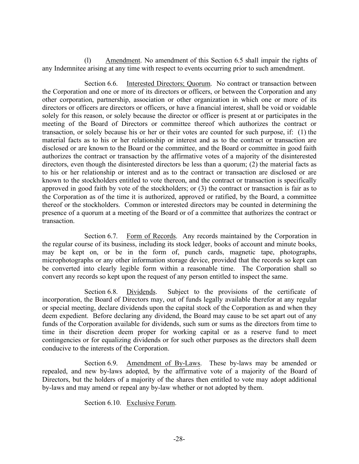(l) Amendment. No amendment of this Section 6.5 shall impair the rights of any Indemnitee arising at any time with respect to events occurring prior to such amendment.

Section 6.6. Interested Directors; Quorum. No contract or transaction between the Corporation and one or more of its directors or officers, or between the Corporation and any other corporation, partnership, association or other organization in which one or more of its directors or officers are directors or officers, or have a financial interest, shall be void or voidable solely for this reason, or solely because the director or officer is present at or participates in the meeting of the Board of Directors or committee thereof which authorizes the contract or transaction, or solely because his or her or their votes are counted for such purpose, if: (1) the material facts as to his or her relationship or interest and as to the contract or transaction are disclosed or are known to the Board or the committee, and the Board or committee in good faith authorizes the contract or transaction by the affirmative votes of a majority of the disinterested directors, even though the disinterested directors be less than a quorum; (2) the material facts as to his or her relationship or interest and as to the contract or transaction are disclosed or are known to the stockholders entitled to vote thereon, and the contract or transaction is specifically approved in good faith by vote of the stockholders; or (3) the contract or transaction is fair as to the Corporation as of the time it is authorized, approved or ratified, by the Board, a committee thereof or the stockholders. Common or interested directors may be counted in determining the presence of a quorum at a meeting of the Board or of a committee that authorizes the contract or transaction.

Section 6.7. Form of Records. Any records maintained by the Corporation in the regular course of its business, including its stock ledger, books of account and minute books, may be kept on, or be in the form of, punch cards, magnetic tape, photographs, microphotographs or any other information storage device, provided that the records so kept can be converted into clearly legible form within a reasonable time. The Corporation shall so convert any records so kept upon the request of any person entitled to inspect the same.

Section 6.8. Dividends. Subject to the provisions of the certificate of incorporation, the Board of Directors may, out of funds legally available therefor at any regular or special meeting, declare dividends upon the capital stock of the Corporation as and when they deem expedient. Before declaring any dividend, the Board may cause to be set apart out of any funds of the Corporation available for dividends, such sum or sums as the directors from time to time in their discretion deem proper for working capital or as a reserve fund to meet contingencies or for equalizing dividends or for such other purposes as the directors shall deem conducive to the interests of the Corporation.

Section 6.9. Amendment of By-Laws. These by-laws may be amended or repealed, and new by-laws adopted, by the affirmative vote of a majority of the Board of Directors, but the holders of a majority of the shares then entitled to vote may adopt additional by-laws and may amend or repeal any by-law whether or not adopted by them.

Section 6.10. Exclusive Forum.